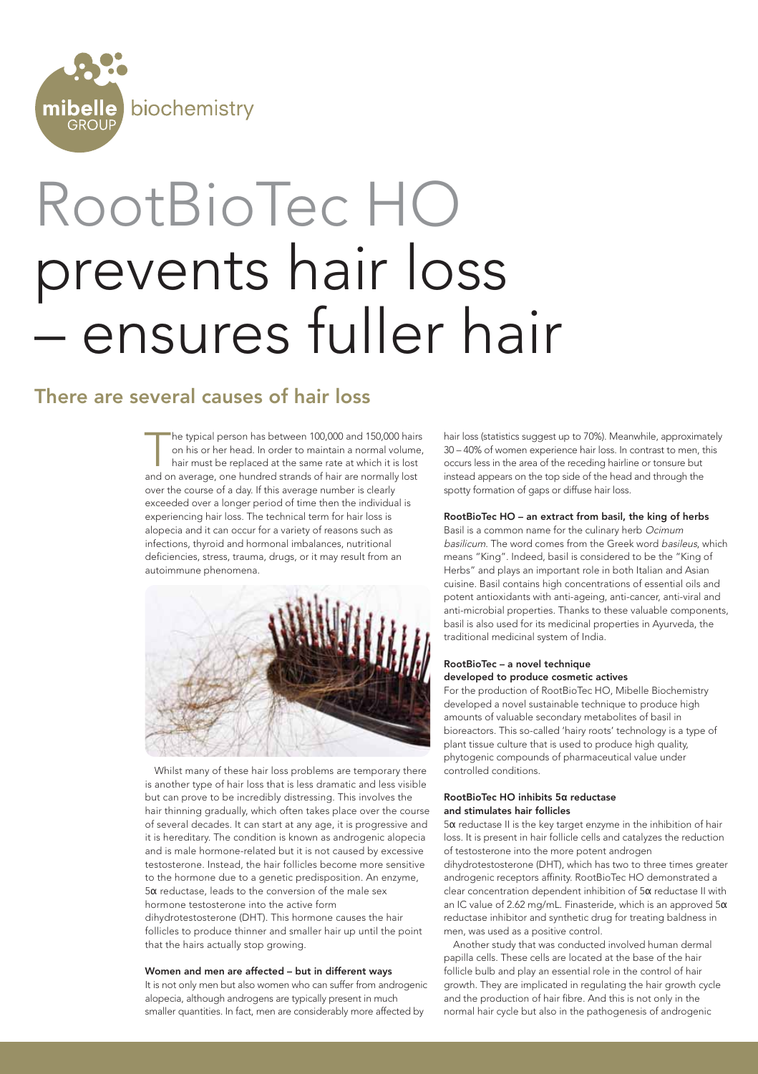

# RootBioTec HO prevents hair loss – ensures fuller hair

## There are several causes of hair loss

he typical person has between 100,000 and 150,000 hairs on his or her head. In order to maintain a normal volume, hair must be replaced at the same rate at which it is lost and on average, one hundred strands of hair are normally lost over the course of a day. If this average number is clearly exceeded over a longer period of time then the individual is experiencing hair loss. The technical term for hair loss is alopecia and it can occur for a variety of reasons such as infections, thyroid and hormonal imbalances, nutritional deficiencies, stress, trauma, drugs, or it may result from an autoimmune phenomena.



Whilst many of these hair loss problems are temporary there is another type of hair loss that is less dramatic and less visible but can prove to be incredibly distressing. This involves the hair thinning gradually, which often takes place over the course of several decades. It can start at any age, it is progressive and it is hereditary. The condition is known as androgenic alopecia and is male hormone-related but it is not caused by excessive testosterone. Instead, the hair follicles become more sensitive to the hormone due to a genetic predisposition. An enzyme,  $5\alpha$  reductase, leads to the conversion of the male sex hormone testosterone into the active form dihydrotestosterone (DHT). This hormone causes the hair follicles to produce thinner and smaller hair up until the point that the hairs actually stop growing.

#### Women and men are affected – but in different ways

It is not only men but also women who can suffer from androgenic alopecia, although androgens are typically present in much smaller quantities. In fact, men are considerably more affected by

hair loss (statistics suggest up to 70%). Meanwhile, approximately 30 – 40% of women experience hair loss. In contrast to men, this occurs less in the area of the receding hairline or tonsure but instead appears on the top side of the head and through the spotty formation of gaps or diffuse hair loss.

#### RootBioTec HO – an extract from basil, the king of herbs

Basil is a common name for the culinary herb Ocimum basilicum. The word comes from the Greek word basileus, which means "King". Indeed, basil is considered to be the "King of Herbs" and plays an important role in both Italian and Asian cuisine. Basil contains high concentrations of essential oils and potent antioxidants with anti-ageing, anti-cancer, anti-viral and anti-microbial properties. Thanks to these valuable components, basil is also used for its medicinal properties in Ayurveda, the traditional medicinal system of India.

#### RootBioTec – a novel technique developed to produce cosmetic actives

For the production of RootBioTec HO, Mibelle Biochemistry developed a novel sustainable technique to produce high amounts of valuable secondary metabolites of basil in bioreactors. This so-called 'hairy roots' technology is a type of plant tissue culture that is used to produce high quality, phytogenic compounds of pharmaceutical value under controlled conditions.

### RootBioTec HO inhibits 5a reductase and stimulates hair follicles

 $5\alpha$  reductase II is the key target enzyme in the inhibition of hair loss. It is present in hair follicle cells and catalyzes the reduction of testosterone into the more potent androgen dihydrotestosterone (DHT), which has two to three times greater androgenic receptors affinity. RootBioTec HO demonstrated a

clear concentration dependent inhibition of  $5\alpha$  reductase II with an IC value of 2.62 mg/mL. Finasteride, which is an approved  $5\alpha$ reductase inhibitor and synthetic drug for treating baldness in men, was used as a positive control.

Another study that was conducted involved human dermal papilla cells. These cells are located at the base of the hair follicle bulb and play an essential role in the control of hair growth. They are implicated in regulating the hair growth cycle and the production of hair fibre. And this is not only in the normal hair cycle but also in the pathogenesis of androgenic